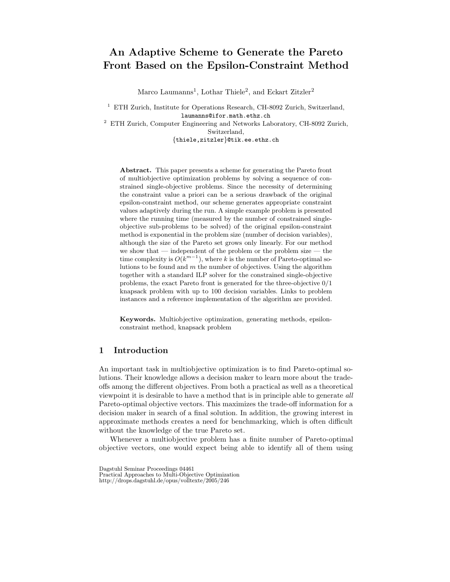# An Adaptive Scheme to Generate the Pareto Front Based on the Epsilon-Constraint Method

Marco Laumanns<sup>1</sup>, Lothar Thiele<sup>2</sup>, and Eckart Zitzler<sup>2</sup>

<sup>1</sup> ETH Zurich, Institute for Operations Research, CH-8092 Zurich, Switzerland, laumanns@ifor.math.ethz.ch  $^{\rm 2}$  ETH Zurich, Computer Engineering and Networks Laboratory, CH-8092 Zurich,

Switzerland,

{thiele,zitzler}@tik.ee.ethz.ch

Abstract. This paper presents a scheme for generating the Pareto front of multiobjective optimization problems by solving a sequence of constrained single-objective problems. Since the necessity of determining the constraint value a priori can be a serious drawback of the original epsilon-constraint method, our scheme generates appropriate constraint values adaptively during the run. A simple example problem is presented where the running time (measured by the number of constrained singleobjective sub-problems to be solved) of the original epsilon-constraint method is exponential in the problem size (number of decision variables), although the size of the Pareto set grows only linearly. For our method we show that — independent of the problem or the problem size — the time complexity is  $O(k^{m-1})$ , where k is the number of Pareto-optimal solutions to be found and  $m$  the number of objectives. Using the algorithm together with a standard ILP solver for the constrained single-objective problems, the exact Pareto front is generated for the three-objective 0/1 knapsack problem with up to 100 decision variables. Links to problem instances and a reference implementation of the algorithm are provided.

Keywords. Multiobjective optimization, generating methods, epsilonconstraint method, knapsack problem

## 1 Introduction

An important task in multiobjective optimization is to find Pareto-optimal solutions. Their knowledge allows a decision maker to learn more about the tradeoffs among the different objectives. From both a practical as well as a theoretical viewpoint it is desirable to have a method that is in principle able to generate all Pareto-optimal objective vectors. This maximizes the trade-off information for a decision maker in search of a final solution. In addition, the growing interest in approximate methods creates a need for benchmarking, which is often difficult without the knowledge of the true Pareto set.

Whenever a multiobjective problem has a finite number of Pareto-optimal objective vectors, one would expect being able to identify all of them using

Dagstuhl Seminar Proceedings 04461 Practical Approaches to Multi-Objective Optimization http://drops.dagstuhl.de/opus/volltexte/2005/246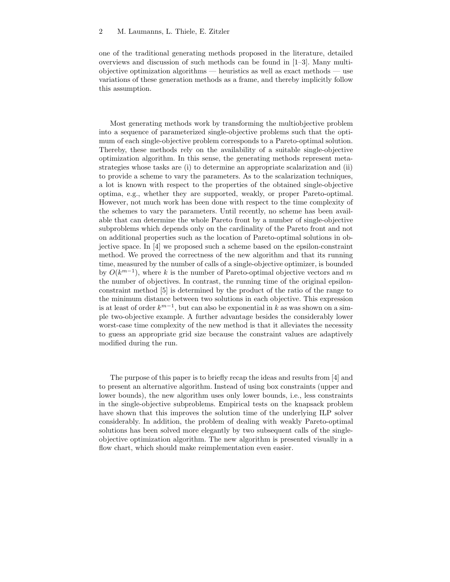one of the traditional generating methods proposed in the literature, detailed overviews and discussion of such methods can be found in [1–3]. Many multiobjective optimization algorithms — heuristics as well as exact methods — use variations of these generation methods as a frame, and thereby implicitly follow this assumption.

Most generating methods work by transforming the multiobjective problem into a sequence of parameterized single-objective problems such that the optimum of each single-objective problem corresponds to a Pareto-optimal solution. Thereby, these methods rely on the availability of a suitable single-objective optimization algorithm. In this sense, the generating methods represent metastrategies whose tasks are (i) to determine an appropriate scalarization and (ii) to provide a scheme to vary the parameters. As to the scalarization techniques, a lot is known with respect to the properties of the obtained single-objective optima, e.g., whether they are supported, weakly, or proper Pareto-optimal. However, not much work has been done with respect to the time complexity of the schemes to vary the parameters. Until recently, no scheme has been available that can determine the whole Pareto front by a number of single-objective subproblems which depends only on the cardinality of the Pareto front and not on additional properties such as the location of Pareto-optimal solutions in objective space. In [4] we proposed such a scheme based on the epsilon-constraint method. We proved the correctness of the new algorithm and that its running time, measured by the number of calls of a single-objective optimizer, is bounded by  $O(k^{m-1})$ , where k is the number of Pareto-optimal objective vectors and m the number of objectives. In contrast, the running time of the original epsilonconstraint method [5] is determined by the product of the ratio of the range to the minimum distance between two solutions in each objective. This expression is at least of order  $k^{m-1}$ , but can also be exponential in k as was shown on a simple two-objective example. A further advantage besides the considerably lower worst-case time complexity of the new method is that it alleviates the necessity to guess an appropriate grid size because the constraint values are adaptively modified during the run.

The purpose of this paper is to briefly recap the ideas and results from [4] and to present an alternative algorithm. Instead of using box constraints (upper and lower bounds), the new algorithm uses only lower bounds, i.e., less constraints in the single-objective subproblems. Empirical tests on the knapsack problem have shown that this improves the solution time of the underlying ILP solver considerably. In addition, the problem of dealing with weakly Pareto-optimal solutions has been solved more elegantly by two subsequent calls of the singleobjective optimization algorithm. The new algorithm is presented visually in a flow chart, which should make reimplementation even easier.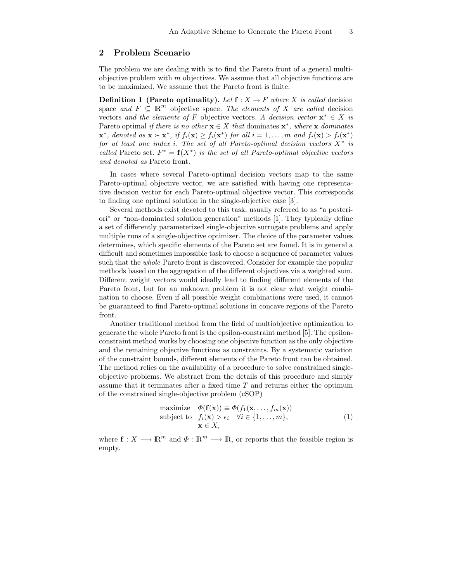### 2 Problem Scenario

The problem we are dealing with is to find the Pareto front of a general multiobjective problem with  $m$  objectives. We assume that all objective functions are to be maximized. We assume that the Pareto front is finite.

**Definition 1** (Pareto optimality). Let  $f : X \to F$  where X is called decision space and  $F \subseteq \mathbb{R}^m$  objective space. The elements of X are called decision vectors and the elements of F objective vectors. A decision vector  $\mathbf{x}^* \in X$  is Pareto optimal *if there is no other*  $\mathbf{x} \in X$  that dominates  $\mathbf{x}^*$ , where  $\mathbf{x}$  dominates  $\mathbf{x}^*$ , denoted as  $\mathbf{x} \succ \mathbf{x}^*$ , if  $f_i(\mathbf{x}) \ge f_i(\mathbf{x}^*)$  for all  $i = 1, ..., m$  and  $f_i(\mathbf{x}) > f_i(\mathbf{x}^*)$ for at least one index i. The set of all Pareto-optimal decision vectors  $X^*$  is called Pareto set.  $F^* = \mathbf{f}(X^*)$  is the set of all Pareto-optimal objective vectors and denoted as Pareto front.

In cases where several Pareto-optimal decision vectors map to the same Pareto-optimal objective vector, we are satisfied with having one representative decision vector for each Pareto-optimal objective vector. This corresponds to finding one optimal solution in the single-objective case [3].

Several methods exist devoted to this task, usually referred to as "a posteriori" or "non-dominated solution generation" methods [1]. They typically define a set of differently parameterized single-objective surrogate problems and apply multiple runs of a single-objective optimizer. The choice of the parameter values determines, which specific elements of the Pareto set are found. It is in general a difficult and sometimes impossible task to choose a sequence of parameter values such that the whole Pareto front is discovered. Consider for example the popular methods based on the aggregation of the different objectives via a weighted sum. Different weight vectors would ideally lead to finding different elements of the Pareto front, but for an unknown problem it is not clear what weight combination to choose. Even if all possible weight combinations were used, it cannot be guaranteed to find Pareto-optimal solutions in concave regions of the Pareto front.

Another traditional method from the field of multiobjective optimization to generate the whole Pareto front is the epsilon-constraint method [5]. The epsilonconstraint method works by choosing one objective function as the only objective and the remaining objective functions as constraints. By a systematic variation of the constraint bounds, different elements of the Pareto front can be obtained. The method relies on the availability of a procedure to solve constrained singleobjective problems. We abstract from the details of this procedure and simply assume that it terminates after a fixed time T and returns either the optimum of the constrained single-objective problem (cSOP)

maximize 
$$
\Phi(\mathbf{f}(\mathbf{x})) \equiv \Phi(f_1(\mathbf{x}, ..., f_m(\mathbf{x}))
$$
  
subject to  $f_i(\mathbf{x}) > \epsilon_i \quad \forall i \in \{1, ..., m\},$   
 $\mathbf{x} \in X,$  (1)

where  $f: X \longrightarrow \mathbb{R}^m$  and  $\Phi: \mathbb{R}^m \longrightarrow \mathbb{R}$ , or reports that the feasible region is empty.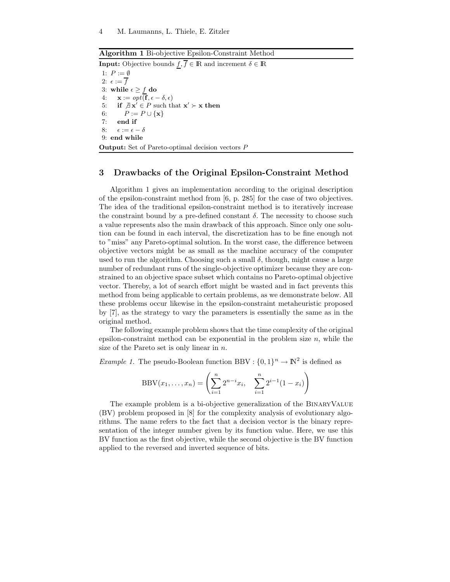Algorithm 1 Bi-objective Epsilon-Constraint Method

**Input:** Objective bounds  $f, \overline{f} \in \mathbb{R}$  and increment  $\delta \in \mathbb{R}$ 1:  $P := \emptyset$ 2:  $\epsilon := \overline{f}$ 3: while  $\epsilon \geq \frac{f}{f}$  do<br>4:  $\mathbf{x} := opt(\mathbf{f}, \epsilon - \epsilon)$ 4:  $\mathbf{x} := opt(\mathbf{f}, \epsilon - \delta, \epsilon)$ <br>5: if  $\mathcal{A} \mathbf{x}' \in P$  such the 5: if  $\forall x \in P$  such that  $x' \succ x$  then 6:  $P := P \cup \{\mathbf{x}\}$ <br>7: end if end if 8:  $\epsilon := \epsilon - \delta$ 9: end while Output: Set of Pareto-optimal decision vectors P

#### 3 Drawbacks of the Original Epsilon-Constraint Method

Algorithm 1 gives an implementation according to the original description of the epsilon-constraint method from [6, p. 285] for the case of two objectives. The idea of the traditional epsilon-constraint method is to iteratively increase the constraint bound by a pre-defined constant  $\delta$ . The necessity to choose such a value represents also the main drawback of this approach. Since only one solution can be found in each interval, the discretization has to be fine enough not to "miss" any Pareto-optimal solution. In the worst case, the difference between objective vectors might be as small as the machine accuracy of the computer used to run the algorithm. Choosing such a small  $\delta$ , though, might cause a large number of redundant runs of the single-objective optimizer because they are constrained to an objective space subset which contains no Pareto-optimal objective vector. Thereby, a lot of search effort might be wasted and in fact prevents this method from being applicable to certain problems, as we demonstrate below. All these problems occur likewise in the epsilon-constraint metaheuristic proposed by [7], as the strategy to vary the parameters is essentially the same as in the original method.

The following example problem shows that the time complexity of the original epsilon-constraint method can be exponential in the problem size  $n$ , while the size of the Pareto set is only linear in  $n$ .

*Example 1*. The pseudo-Boolean function BBV :  $\{0, 1\}^n \to \mathbb{N}^2$  is defined as

$$
BBV(x_1,...,x_n) = \left(\sum_{i=1}^n 2^{n-i}x_i, \quad \sum_{i=1}^n 2^{i-1}(1-x_i)\right)
$$

The example problem is a bi-objective generalization of the BinaryValue (BV) problem proposed in [8] for the complexity analysis of evolutionary algorithms. The name refers to the fact that a decision vector is the binary representation of the integer number given by its function value. Here, we use this BV function as the first objective, while the second objective is the BV function applied to the reversed and inverted sequence of bits.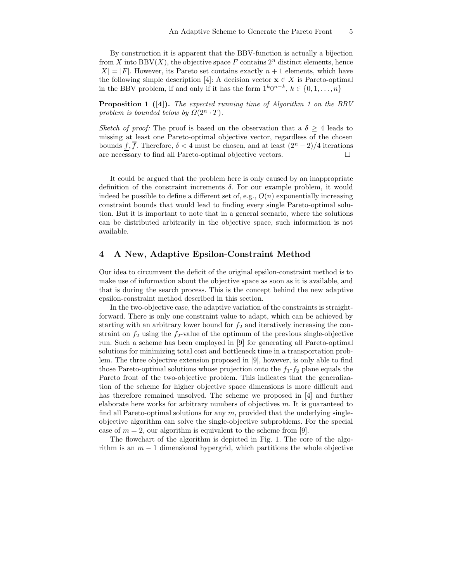By construction it is apparent that the BBV-function is actually a bijection from X into BBV $(X)$ , the objective space F contains  $2<sup>n</sup>$  distinct elements, hence  $|X| = |F|$ . However, its Pareto set contains exactly  $n + 1$  elements, which have the following simple description [4]: A decision vector  $\mathbf{x} \in X$  is Pareto-optimal in the BBV problem, if and only if it has the form  $1^k0^{n-k}$ ,  $k \in \{0, 1, ..., n\}$ 

Proposition 1 ([4]). The expected running time of Algorithm 1 on the BBV problem is bounded below by  $\Omega(2^n \cdot T)$ .

Sketch of proof: The proof is based on the observation that a  $\delta \geq 4$  leads to missing at least one Pareto-optimal objective vector, regardless of the chosen bounds  $\overline{f}, \overline{f}$ . Therefore,  $\delta < 4$  must be chosen, and at least  $(2^{n} - 2)/4$  iterations are necessary to find all Pareto-optimal objective vectors. are necessary to find all Pareto-optimal objective vectors.

It could be argued that the problem here is only caused by an inappropriate definition of the constraint increments  $\delta$ . For our example problem, it would indeed be possible to define a different set of, e.g.,  $O(n)$  exponentially increasing constraint bounds that would lead to finding every single Pareto-optimal solution. But it is important to note that in a general scenario, where the solutions can be distributed arbitrarily in the objective space, such information is not available.

### 4 A New, Adaptive Epsilon-Constraint Method

Our idea to circumvent the deficit of the original epsilon-constraint method is to make use of information about the objective space as soon as it is available, and that is during the search process. This is the concept behind the new adaptive epsilon-constraint method described in this section.

In the two-objective case, the adaptive variation of the constraints is straightforward. There is only one constraint value to adapt, which can be achieved by starting with an arbitrary lower bound for  $f_2$  and iteratively increasing the constraint on  $f_2$  using the  $f_2$ -value of the optimum of the previous single-objective run. Such a scheme has been employed in [9] for generating all Pareto-optimal solutions for minimizing total cost and bottleneck time in a transportation problem. The three objective extension proposed in [9], however, is only able to find those Pareto-optimal solutions whose projection onto the  $f_1 - f_2$  plane equals the Pareto front of the two-objective problem. This indicates that the generalization of the scheme for higher objective space dimensions is more difficult and has therefore remained unsolved. The scheme we proposed in [4] and further elaborate here works for arbitrary numbers of objectives  $m$ . It is guaranteed to find all Pareto-optimal solutions for any  $m$ , provided that the underlying singleobjective algorithm can solve the single-objective subproblems. For the special case of  $m = 2$ , our algorithm is equivalent to the scheme from [9].

The flowchart of the algorithm is depicted in Fig. 1. The core of the algorithm is an  $m-1$  dimensional hypergrid, which partitions the whole objective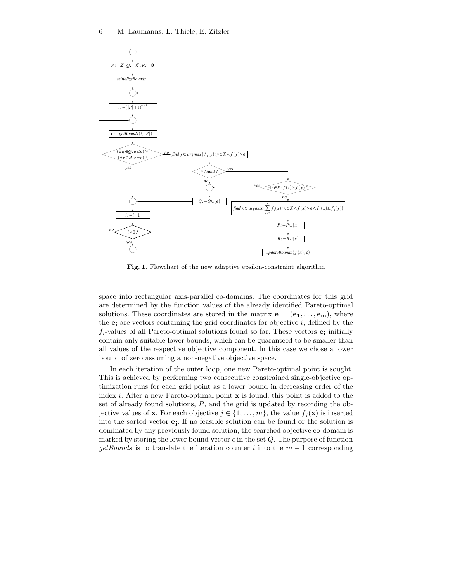

Fig. 1. Flowchart of the new adaptive epsilon-constraint algorithm

space into rectangular axis-parallel co-domains. The coordinates for this grid are determined by the function values of the already identified Pareto-optimal solutions. These coordinates are stored in the matrix  $e = (e_1, \ldots, e_m)$ , where the  $e_i$  are vectors containing the grid coordinates for objective i, defined by the  $f_i$ -values of all Pareto-optimal solutions found so far. These vectors  $e_i$  initially contain only suitable lower bounds, which can be guaranteed to be smaller than all values of the respective objective component. In this case we chose a lower bound of zero assuming a non-negative objective space.

In each iteration of the outer loop, one new Pareto-optimal point is sought. This is achieved by performing two consecutive constrained single-objective optimization runs for each grid point as a lower bound in decreasing order of the index i. After a new Pareto-optimal point  $x$  is found, this point is added to the set of already found solutions,  $P$ , and the grid is updated by recording the objective values of **x**. For each objective  $j \in \{1, \ldots, m\}$ , the value  $f_i(\mathbf{x})$  is inserted into the sorted vector e<sup>j</sup> . If no feasible solution can be found or the solution is dominated by any previously found solution, the searched objective co-domain is marked by storing the lower bound vector  $\epsilon$  in the set Q. The purpose of function  $getBounds$  is to translate the iteration counter i into the  $m-1$  corresponding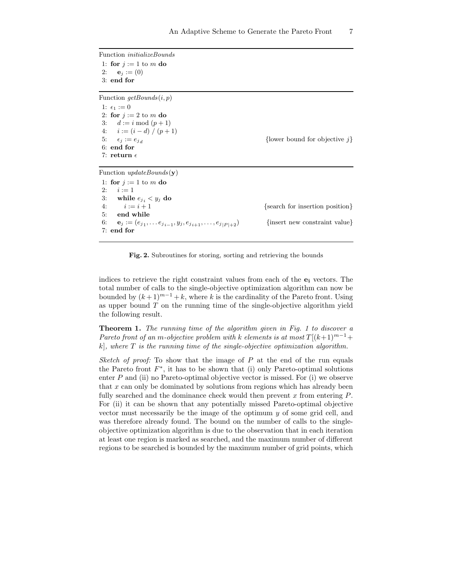Function initializeBounds 1: for  $j := 1$  to m do 2:  $$ 3: end for Function  $getBounds(i, p)$ 1:  $\epsilon_1 := 0$ 2: for  $j := 2$  to m do 3:  $d := i \mod (p+1)$ 4:  $i := (i - d) / (p + 1)$ 5:  $\epsilon_j := e_{j_d}$ 6: end for 7: return  $\epsilon$ 

{lower bound for objective  $j$ }

Function  $updateBounds(\mathbf{v})$ 

1: for  $j := 1$  to m do 2:  $i := 1$ 3: while  $e_{j_i} < y_j$  do<br>4:  $i := i + 1$ 4:  $i := i + 1$  {search for insertion position}<br>5: **end while** end while 6:  $\mathbf{e}_j := (e_{j_1}, \dots e_{j_{i-1}})$  $\{$  insert new constraint value $\}$ 7: end for

Fig. 2. Subroutines for storing, sorting and retrieving the bounds

indices to retrieve the right constraint values from each of the  $e_i$  vectors. The total number of calls to the single-objective optimization algorithm can now be bounded by  $(k+1)^{m-1}+k$ , where k is the cardinality of the Pareto front. Using as upper bound  $T$  on the running time of the single-objective algorithm yield the following result.

Theorem 1. The running time of the algorithm given in Fig. 1 to discover a Pareto front of an m-objective problem with k elements is at most  $T[(k+1)^{m-1}+$  $k$ , where  $T$  is the running time of the single-objective optimization algorithm.

Sketch of proof: To show that the image of  $P$  at the end of the run equals the Pareto front  $F^*$ , it has to be shown that (i) only Pareto-optimal solutions enter  $P$  and (ii) no Pareto-optimal objective vector is missed. For (i) we observe that  $x$  can only be dominated by solutions from regions which has already been fully searched and the dominance check would then prevent  $x$  from entering  $P$ . For (ii) it can be shown that any potentially missed Pareto-optimal objective vector must necessarily be the image of the optimum y of some grid cell, and was therefore already found. The bound on the number of calls to the singleobjective optimization algorithm is due to the observation that in each iteration at least one region is marked as searched, and the maximum number of different regions to be searched is bounded by the maximum number of grid points, which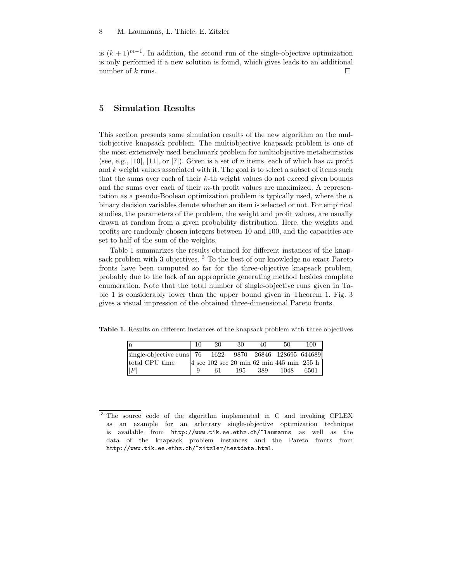is  $(k + 1)^{m-1}$ . In addition, the second run of the single-objective optimization is only performed if a new solution is found, which gives leads to an additional number of k runs.  $\square$ 

# 5 Simulation Results

This section presents some simulation results of the new algorithm on the multiobjective knapsack problem. The multiobjective knapsack problem is one of the most extensively used benchmark problem for multiobjective metaheuristics (see, e.g., [10], [11], or [7]). Given is a set of n items, each of which has m profit and  $k$  weight values associated with it. The goal is to select a subset of items such that the sums over each of their k-th weight values do not exceed given bounds and the sums over each of their  $m$ -th profit values are maximized. A representation as a pseudo-Boolean optimization problem is typically used, where the  $n$ binary decision variables denote whether an item is selected or not. For empirical studies, the parameters of the problem, the weight and profit values, are usually drawn at random from a given probability distribution. Here, the weights and profits are randomly chosen integers between 10 and 100, and the capacities are set to half of the sum of the weights.

Table 1 summarizes the results obtained for different instances of the knapsack problem with 3 objectives.<sup>3</sup> To the best of our knowledge no exact Pareto fronts have been computed so far for the three-objective knapsack problem, probably due to the lack of an appropriate generating method besides complete enumeration. Note that the total number of single-objective runs given in Table 1 is considerably lower than the upper bound given in Theorem 1. Fig. 3 gives a visual impression of the obtained three-dimensional Pareto fronts.

Table 1. Results on different instances of the knapsack problem with three objectives

| n                                                      | 20 | 30  | 40  | 50                                               | 100  |
|--------------------------------------------------------|----|-----|-----|--------------------------------------------------|------|
| single-objective runs 76 1622 9870 26846 128695 644689 |    |     |     |                                                  |      |
| total CPU time                                         |    |     |     | $4 \sec 102 \sec 20 \min 62 \min 445 \min 255 h$ |      |
| P                                                      | 61 | 195 | 389 | 1048                                             | 6501 |
|                                                        |    |     |     |                                                  |      |

<sup>&</sup>lt;sup>3</sup> The source code of the algorithm implemented in C and invoking CPLEX as an example for an arbitrary single-objective optimization technique is available from http://www.tik.ee.ethz.ch/~laumanns as well as the data of the knapsack problem instances and the Pareto fronts from http://www.tik.ee.ethz.ch/~zitzler/testdata.html.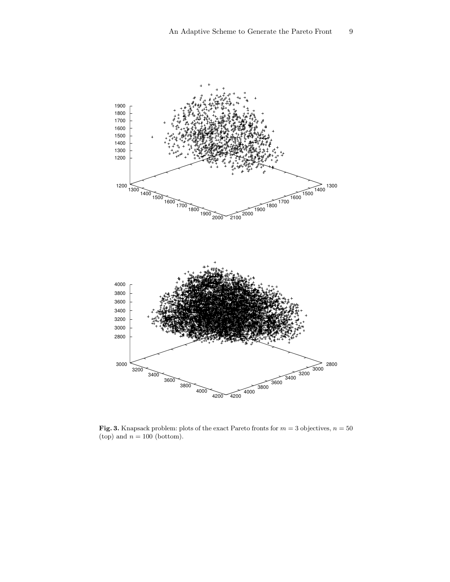

Fig. 3. Knapsack problem: plots of the exact Pareto fronts for  $m = 3$  objectives,  $n = 50$ (top) and  $n = 100$  (bottom).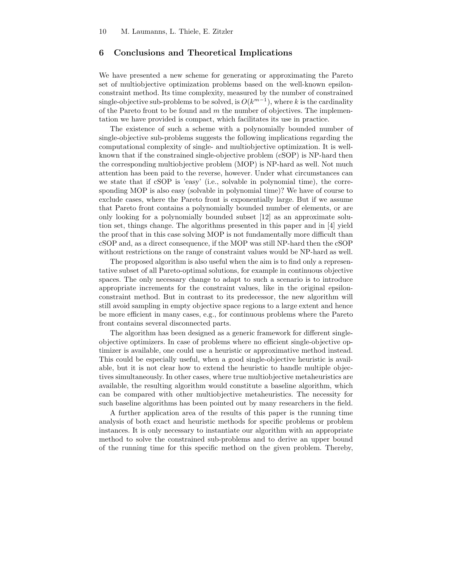#### 6 Conclusions and Theoretical Implications

We have presented a new scheme for generating or approximating the Pareto set of multiobjective optimization problems based on the well-known epsilonconstraint method. Its time complexity, measured by the number of constrained single-objective sub-problems to be solved, is  $O(k^{m-1})$ , where k is the cardinality of the Pareto front to be found and  $m$  the number of objectives. The implementation we have provided is compact, which facilitates its use in practice.

The existence of such a scheme with a polynomially bounded number of single-objective sub-problems suggests the following implications regarding the computational complexity of single- and multiobjective optimization. It is wellknown that if the constrained single-objective problem (cSOP) is NP-hard then the corresponding multiobjective problem (MOP) is NP-hard as well. Not much attention has been paid to the reverse, however. Under what circumstances can we state that if cSOP is 'easy' (i.e., solvable in polynomial time), the corresponding MOP is also easy (solvable in polynomial time)? We have of course to exclude cases, where the Pareto front is exponentially large. But if we assume that Pareto front contains a polynomially bounded number of elements, or are only looking for a polynomially bounded subset [12] as an approximate solution set, things change. The algorithms presented in this paper and in [4] yield the proof that in this case solving MOP is not fundamentally more difficult than cSOP and, as a direct consequence, if the MOP was still NP-hard then the cSOP without restrictions on the range of constraint values would be NP-hard as well.

The proposed algorithm is also useful when the aim is to find only a representative subset of all Pareto-optimal solutions, for example in continuous objective spaces. The only necessary change to adapt to such a scenario is to introduce appropriate increments for the constraint values, like in the original epsilonconstraint method. But in contrast to its predecessor, the new algorithm will still avoid sampling in empty objective space regions to a large extent and hence be more efficient in many cases, e.g., for continuous problems where the Pareto front contains several disconnected parts.

The algorithm has been designed as a generic framework for different singleobjective optimizers. In case of problems where no efficient single-objective optimizer is available, one could use a heuristic or approximative method instead. This could be especially useful, when a good single-objective heuristic is available, but it is not clear how to extend the heuristic to handle multiple objectives simultaneously. In other cases, where true multiobjective metaheuristics are available, the resulting algorithm would constitute a baseline algorithm, which can be compared with other multiobjective metaheuristics. The necessity for such baseline algorithms has been pointed out by many researchers in the field.

A further application area of the results of this paper is the running time analysis of both exact and heuristic methods for specific problems or problem instances. It is only necessary to instantiate our algorithm with an appropriate method to solve the constrained sub-problems and to derive an upper bound of the running time for this specific method on the given problem. Thereby,